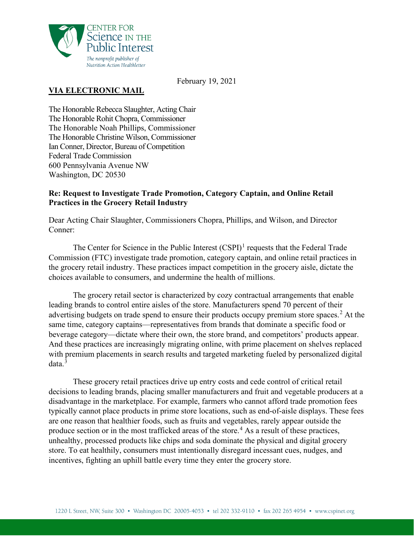

February 19, 2021

# **VIA ELECTRONIC MAIL**

The Honorable Rebecca Slaughter, Acting Chair The Honorable Rohit Chopra, Commissioner The Honorable Noah Phillips, Commissioner The Honorable Christine Wilson, Commissioner Ian Conner, Director, Bureau of Competition Federal Trade Commission 600 Pennsylvania Avenue NW Washington, DC 20530

### **Re: Request to Investigate Trade Promotion, Category Captain, and Online Retail Practices in the Grocery Retail Industry**

Dear Acting Chair Slaughter, Commissioners Chopra, Phillips, and Wilson, and Director Conner:

The Center for Science in the Public Interest  $(CSPI)^1$  $(CSPI)^1$  requests that the Federal Trade Commission (FTC) investigate trade promotion, category captain, and online retail practices in the grocery retail industry. These practices impact competition in the grocery aisle, dictate the choices available to consumers, and undermine the health of millions.

The grocery retail sector is characterized by cozy contractual arrangements that enable leading brands to control entire aisles of the store. Manufacturers spend 70 percent of their advertising budgets on trade spend to ensure their products occupy premium store spaces.<sup>[2](#page-7-1)</sup> At the same time, category captains—representatives from brands that dominate a specific food or beverage category—dictate where their own, the store brand, and competitors' products appear. And these practices are increasingly migrating online, with prime placement on shelves replaced with premium placements in search results and targeted marketing fueled by personalized digital data.[3](#page-7-2)

These grocery retail practices drive up entry costs and cede control of critical retail decisions to leading brands, placing smaller manufacturers and fruit and vegetable producers at a disadvantage in the marketplace. For example, farmers who cannot afford trade promotion fees typically cannot place products in prime store locations, such as end-of-aisle displays. These fees are one reason that healthier foods, such as fruits and vegetables, rarely appear outside the produce section or in the most trafficked areas of the store.<sup>[4](#page-8-0)</sup> As a result of these practices, unhealthy, processed products like chips and soda dominate the physical and digital grocery store. To eat healthily, consumers must intentionally disregard incessant cues, nudges, and incentives, fighting an uphill battle every time they enter the grocery store.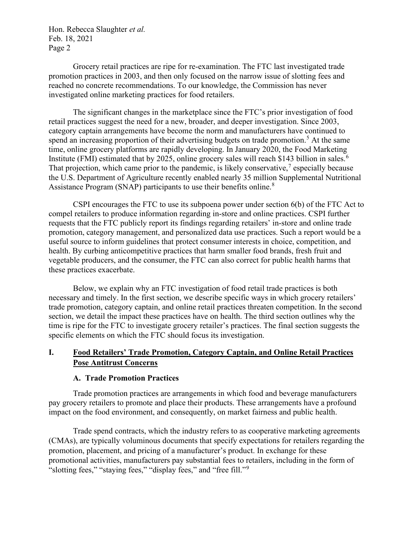Grocery retail practices are ripe for re-examination. The FTC last investigated trade promotion practices in 2003, and then only focused on the narrow issue of slotting fees and reached no concrete recommendations. To our knowledge, the Commission has never investigated online marketing practices for food retailers.

The significant changes in the marketplace since the FTC's prior investigation of food retail practices suggest the need for a new, broader, and deeper investigation. Since 2003, category captain arrangements have become the norm and manufacturers have continued to spend an increasing proportion of their advertising budgets on trade promotion.<sup>[5](#page-8-1)</sup> At the same time, online grocery platforms are rapidly developing. In January 2020, the Food Marketing Institute (FMI) estimated that by 2025, online grocery sales will reach \$143 billion in sales.<sup>[6](#page-8-2)</sup> That projection, which came prior to the pandemic, is likely conservative,<sup>[7](#page-8-3)</sup> especially because the U.S. Department of Agriculture recently enabled nearly 35 million Supplemental Nutritional Assistance Program (SNAP) participants to use their benefits online.<sup>[8](#page-8-4)</sup>

CSPI encourages the FTC to use its subpoena power under section 6(b) of the FTC Act to compel retailers to produce information regarding in-store and online practices. CSPI further requests that the FTC publicly report its findings regarding retailers' in-store and online trade promotion, category management, and personalized data use practices. Such a report would be a useful source to inform guidelines that protect consumer interests in choice, competition, and health. By curbing anticompetitive practices that harm smaller food brands, fresh fruit and vegetable producers, and the consumer, the FTC can also correct for public health harms that these practices exacerbate.

Below, we explain why an FTC investigation of food retail trade practices is both necessary and timely. In the first section, we describe specific ways in which grocery retailers' trade promotion, category captain, and online retail practices threaten competition. In the second section, we detail the impact these practices have on health. The third section outlines why the time is ripe for the FTC to investigate grocery retailer's practices. The final section suggests the specific elements on which the FTC should focus its investigation.

## **I. Food Retailers' Trade Promotion, Category Captain, and Online Retail Practices Pose Antitrust Concerns**

## **A. Trade Promotion Practices**

Trade promotion practices are arrangements in which food and beverage manufacturers pay grocery retailers to promote and place their products. These arrangements have a profound impact on the food environment, and consequently, on market fairness and public health.

Trade spend contracts, which the industry refers to as cooperative marketing agreements (CMAs), are typically voluminous documents that specify expectations for retailers regarding the promotion, placement, and pricing of a manufacturer's product. In exchange for these promotional activities, manufacturers pay substantial fees to retailers, including in the form of "slotting fees," "staying fees," "display fees," and "free fill."[9](#page-8-5)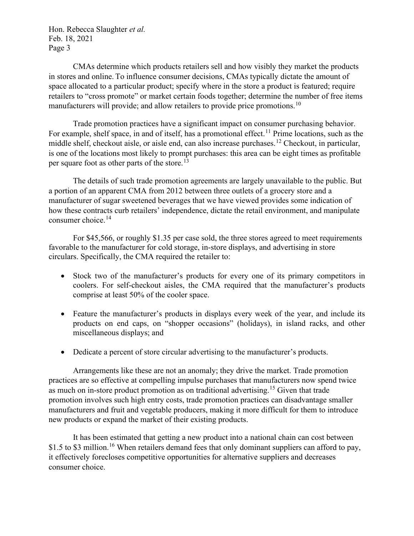CMAs determine which products retailers sell and how visibly they market the products in stores and online. To influence consumer decisions, CMAs typically dictate the amount of space allocated to a particular product; specify where in the store a product is featured; require retailers to "cross promote" or market certain foods together; determine the number of free items manufacturers will provide; and allow retailers to provide price promotions.<sup>[10](#page-8-6)</sup>

Trade promotion practices have a significant impact on consumer purchasing behavior. For example, shelf space, in and of itself, has a promotional effect.<sup>[11](#page-8-7)</sup> Prime locations, such as the middle shelf, checkout aisle, or aisle end, can also increase purchases.[12](#page-8-8) Checkout, in particular, is one of the locations most likely to prompt purchases: this area can be eight times as profitable per square foot as other parts of the store.[13](#page-8-9)

The details of such trade promotion agreements are largely unavailable to the public. But a portion of an apparent CMA from 2012 between three outlets of a grocery store and a manufacturer of sugar sweetened beverages that we have viewed provides some indication of how these contracts curb retailers' independence, dictate the retail environment, and manipulate consumer choice.[14](#page-8-10) 

For \$45,566, or roughly \$1.35 per case sold, the three stores agreed to meet requirements favorable to the manufacturer for cold storage, in-store displays, and advertising in store circulars. Specifically, the CMA required the retailer to:

- Stock two of the manufacturer's products for every one of its primary competitors in coolers. For self-checkout aisles, the CMA required that the manufacturer's products comprise at least 50% of the cooler space.
- Feature the manufacturer's products in displays every week of the year, and include its products on end caps, on "shopper occasions" (holidays), in island racks, and other miscellaneous displays; and
- Dedicate a percent of store circular advertising to the manufacturer's products.

Arrangements like these are not an anomaly; they drive the market. Trade promotion practices are so effective at compelling impulse purchases that manufacturers now spend twice as much on in-store product promotion as on traditional advertising.<sup>[15](#page-8-11)</sup> Given that trade promotion involves such high entry costs, trade promotion practices can disadvantage smaller manufacturers and fruit and vegetable producers, making it more difficult for them to introduce new products or expand the market of their existing products.

It has been estimated that getting a new product into a national chain can cost between \$1.5 to \$3 million.<sup>[16](#page-8-12)</sup> When retailers demand fees that only dominant suppliers can afford to pay, it effectively forecloses competitive opportunities for alternative suppliers and decreases consumer choice.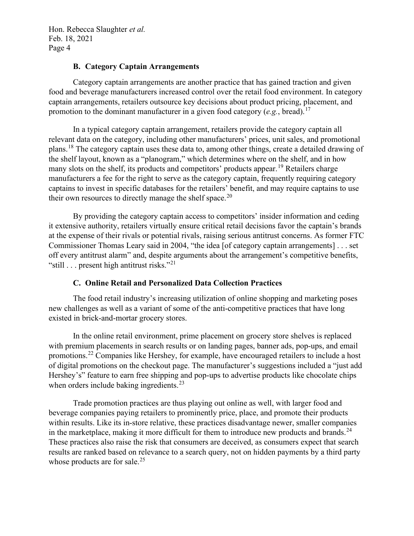#### **B. Category Captain Arrangements**

Category captain arrangements are another practice that has gained traction and given food and beverage manufacturers increased control over the retail food environment. In category captain arrangements, retailers outsource key decisions about product pricing, placement, and promotion to the dominant manufacturer in a given food category (*e.g.*, bread).[17](#page-8-13) 

In a typical category captain arrangement, retailers provide the category captain all relevant data on the category, including other manufacturers' prices, unit sales, and promotional plans.[18](#page-8-14) The category captain uses these data to, among other things, create a detailed drawing of the shelf layout, known as a "planogram," which determines where on the shelf, and in how many slots on the shelf, its products and competitors' products appear.<sup>[19](#page-8-15)</sup> Retailers charge manufacturers a fee for the right to serve as the category captain, frequently requiring category captains to invest in specific databases for the retailers' benefit, and may require captains to use their own resources to directly manage the shelf space.<sup>20</sup>

By providing the category captain access to competitors' insider information and ceding it extensive authority, retailers virtually ensure critical retail decisions favor the captain's brands at the expense of their rivals or potential rivals, raising serious antitrust concerns. As former FTC Commissioner Thomas Leary said in 2004, "the idea [of category captain arrangements] . . . set off every antitrust alarm" and, despite arguments about the arrangement's competitive benefits, "still  $\ldots$  present high antitrust risks."<sup>[21](#page-8-17)</sup>

## **C. Online Retail and Personalized Data Collection Practices**

The food retail industry's increasing utilization of online shopping and marketing poses new challenges as well as a variant of some of the anti-competitive practices that have long existed in brick-and-mortar grocery stores.

In the online retail environment, prime placement on grocery store shelves is replaced with premium placements in search results or on landing pages, banner ads, pop-ups, and email promotions.[22](#page-8-18) Companies like Hershey, for example, have encouraged retailers to include a host of digital promotions on the checkout page. The manufacturer's suggestions included a "just add Hershey's" feature to earn free shipping and pop-ups to advertise products like chocolate chips when orders include baking ingredients.<sup>[23](#page-8-19)</sup>

Trade promotion practices are thus playing out online as well, with larger food and beverage companies paying retailers to prominently price, place, and promote their products within results. Like its in-store relative, these practices disadvantage newer, smaller companies in the marketplace, making it more difficult for them to introduce new products and brands.<sup>[24](#page-8-20)</sup> These practices also raise the risk that consumers are deceived, as consumers expect that search results are ranked based on relevance to a search query, not on hidden payments by a third party whose products are for sale.<sup>[25](#page-8-21)</sup>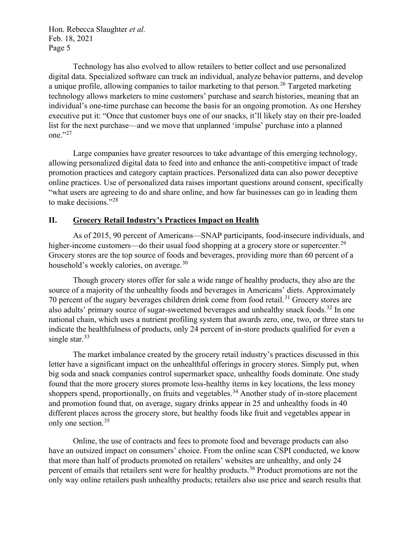Technology has also evolved to allow retailers to better collect and use personalized digital data. Specialized software can track an individual, analyze behavior patterns, and develop a unique profile, allowing companies to tailor marketing to that person.<sup>[26](#page-8-22)</sup> Targeted marketing technology allows marketers to mine customers' purchase and search histories, meaning that an individual's one-time purchase can become the basis for an ongoing promotion. As one Hershey executive put it: "Once that customer buys one of our snacks, it'll likely stay on their pre-loaded list for the next purchase—and we move that unplanned 'impulse' purchase into a planned one."[27](#page-8-23)

Large companies have greater resources to take advantage of this emerging technology, allowing personalized digital data to feed into and enhance the anti-competitive impact of trade promotion practices and category captain practices. Personalized data can also power deceptive online practices. Use of personalized data raises important questions around consent, specifically "what users are agreeing to do and share online, and how far businesses can go in leading them to make decisions."[28](#page-8-24)

## **II. Grocery Retail Industry's Practices Impact on Health**

As of 2015, 90 percent of Americans—SNAP participants, food-insecure individuals, and higher-income customers—do their usual food shopping at a grocery store or supercenter.<sup>[29](#page-9-0)</sup> Grocery stores are the top source of foods and beverages, providing more than 60 percent of a household's weekly calories, on average.<sup>[30](#page-9-1)</sup>

Though grocery stores offer for sale a wide range of healthy products, they also are the source of a majority of the unhealthy foods and beverages in Americans' diets. Approximately 70 percent of the sugary beverages children drink come from food retail.<sup>[31](#page-9-2)</sup> Grocery stores are also adults' primary source of sugar-sweetened beverages and unhealthy snack foods.<sup>[32](#page-9-3)</sup> In one national chain, which uses a nutrient profiling system that awards zero, one, two, or three stars to indicate the healthfulness of products, only 24 percent of in-store products qualified for even a single star. $33$ 

The market imbalance created by the grocery retail industry's practices discussed in this letter have a significant impact on the unhealthful offerings in grocery stores. Simply put, when big soda and snack companies control supermarket space, unhealthy foods dominate. One study found that the more grocery stores promote less-healthy items in key locations, the less money shoppers spend, proportionally, on fruits and vegetables.<sup>[34](#page-9-5)</sup> Another study of in-store placement and promotion found that, on average, sugary drinks appear in 25 and unhealthy foods in 40 different places across the grocery store, but healthy foods like fruit and vegetables appear in only one section.<sup>[35](#page-9-6)</sup>

Online, the use of contracts and fees to promote food and beverage products can also have an outsized impact on consumers' choice. From the online scan CSPI conducted, we know that more than half of products promoted on retailers' websites are unhealthy, and only 24 percent of emails that retailers sent were for healthy products.<sup>[36](#page-9-7)</sup> Product promotions are not the only way online retailers push unhealthy products; retailers also use price and search results that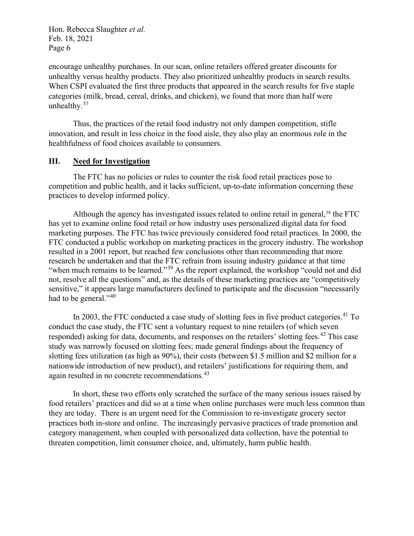encourage unhealthy purchases. In our scan, online retailers offered greater discounts for unhealthy versus healthy products. They also prioritized unhealthy products in search results. When CSPI evaluated the first three products that appeared in the search results for five staple categories (milk, bread, cereal, drinks, and chicken), we found that more than half were unhealthy.<sup>[37](#page-9-8)</sup>

Thus, the practices of the retail food industry not only dampen competition, stifle innovation, and result in less choice in the food aisle, they also play an enormous role in the healthfulness of food choices available to consumers.

#### **III. Need for Investigation**

The FTC has no policies or rules to counter the risk food retail practices pose to competition and public health, and it lacks sufficient, up-to-date information concerning these practices to develop informed policy.

Although the agency has investigated issues related to online retail in general, $38$  the FTC has yet to examine online food retail or how industry uses personalized digital data for food marketing purposes. The FTC has twice previously considered food retail practices. In 2000, the FTC conducted a public workshop on marketing practices in the grocery industry. The workshop resulted in a 2001 report, but reached few conclusions other than recommending that more research be undertaken and that the FTC refrain from issuing industry guidance at that time "when much remains to be learned."<sup>[39](#page-9-10)</sup> As the report explained, the workshop "could not and did not, resolve all the questions" and, as the details of these marketing practices are "competitively sensitive," it appears large manufacturers declined to participate and the discussion "necessarily had to be general."<sup>[40](#page-9-11)</sup>

In 2003, the FTC conducted a case study of slotting fees in five product categories.<sup>[41](#page-9-12)</sup> To conduct the case study, the FTC sent a voluntary request to nine retailers (of which seven responded) asking for data, documents, and responses on the retailers' slotting fees.<sup>[42](#page-9-13)</sup> This case study was narrowly focused on slotting fees; made general findings about the frequency of slotting fees utilization (as high as 90%), their costs (between \$1.5 million and \$2 million for a nationwide introduction of new product), and retailers' justifications for requiring them, and again resulted in no concrete recommendations.<sup>43</sup>

In short, these two efforts only scratched the surface of the many serious issues raised by food retailers' practices and did so at a time when online purchases were much less common than they are today. There is an urgent need for the Commission to re-investigate grocery sector practices both in-store and online. The increasingly pervasive practices of trade promotion and category management, when coupled with personalized data collection, have the potential to threaten competition, limit consumer choice, and, ultimately, harm public health.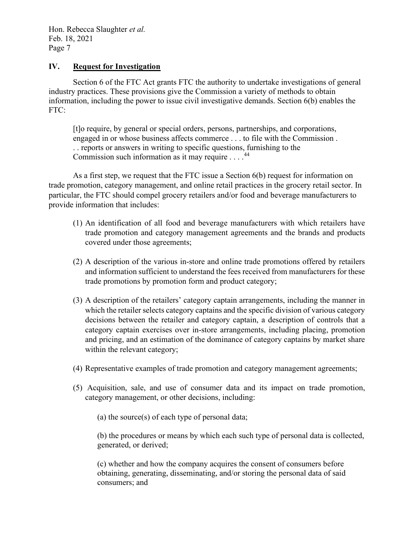#### **IV. Request for Investigation**

Section 6 of the FTC Act grants FTC the authority to undertake investigations of general industry practices. These provisions give the Commission a variety of methods to obtain information, including the power to issue civil investigative demands. Section 6(b) enables the FTC:

[t]o require, by general or special orders, persons, partnerships, and corporations, engaged in or whose business affects commerce . . . to file with the Commission . . . reports or answers in writing to specific questions, furnishing to the Commission such information as it may require  $\dots$ .<sup>[44](#page-9-15)</sup>

As a first step, we request that the FTC issue a Section 6(b) request for information on trade promotion, category management, and online retail practices in the grocery retail sector. In particular, the FTC should compel grocery retailers and/or food and beverage manufacturers to provide information that includes:

- (1) An identification of all food and beverage manufacturers with which retailers have trade promotion and category management agreements and the brands and products covered under those agreements;
- (2) A description of the various in-store and online trade promotions offered by retailers and information sufficient to understand the fees received from manufacturers for these trade promotions by promotion form and product category;
- (3) A description of the retailers' category captain arrangements, including the manner in which the retailer selects category captains and the specific division of various category decisions between the retailer and category captain, a description of controls that a category captain exercises over in-store arrangements, including placing, promotion and pricing, and an estimation of the dominance of category captains by market share within the relevant category;
- (4) Representative examples of trade promotion and category management agreements;
- (5) Acquisition, sale, and use of consumer data and its impact on trade promotion, category management, or other decisions, including:
	- (a) the source(s) of each type of personal data;

(b) the procedures or means by which each such type of personal data is collected, generated, or derived;

(c) whether and how the company acquires the consent of consumers before obtaining, generating, disseminating, and/or storing the personal data of said consumers; and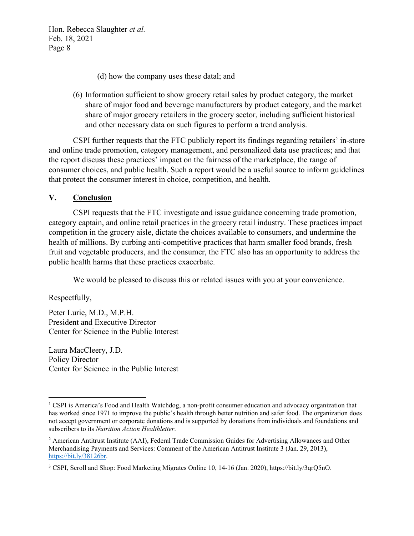(d) how the company uses these datal; and

(6) Information sufficient to show grocery retail sales by product category, the market share of major food and beverage manufacturers by product category, and the market share of major grocery retailers in the grocery sector, including sufficient historical and other necessary data on such figures to perform a trend analysis.

CSPI further requests that the FTC publicly report its findings regarding retailers' in-store and online trade promotion, category management, and personalized data use practices; and that the report discuss these practices' impact on the fairness of the marketplace, the range of consumer choices, and public health. Such a report would be a useful source to inform guidelines that protect the consumer interest in choice, competition, and health.

#### **V. Conclusion**

CSPI requests that the FTC investigate and issue guidance concerning trade promotion, category captain, and online retail practices in the grocery retail industry. These practices impact competition in the grocery aisle, dictate the choices available to consumers, and undermine the health of millions. By curbing anti-competitive practices that harm smaller food brands, fresh fruit and vegetable producers, and the consumer, the FTC also has an opportunity to address the public health harms that these practices exacerbate.

We would be pleased to discuss this or related issues with you at your convenience.

Respectfully,

Peter Lurie, M.D., M.P.H. President and Executive Director Center for Science in the Public Interest

Laura MacCleery, J.D. Policy Director Center for Science in the Public Interest

<span id="page-7-0"></span><sup>1</sup> CSPI is America's Food and Health Watchdog, a non-profit consumer education and advocacy organization that has worked since 1971 to improve the public's health through better nutrition and safer food. The organization does not accept government or corporate donations and is supported by donations from individuals and foundations and subscribers to its *Nutrition Action Healthletter*.

<span id="page-7-1"></span><sup>2</sup> American Antitrust Institute (AAI), Federal Trade Commission Guides for Advertising Allowances and Other Merchandising Payments and Services: Comment of the American Antitrust Institute 3 (Jan. 29, 2013), [https://bit.ly/38126br.](https://bit.ly/38126br)

<span id="page-7-2"></span><sup>3</sup> CSPI, Scroll and Shop: Food Marketing Migrates Online 10, 14-16 (Jan. 2020), https://bit.ly/3qrQ5nO.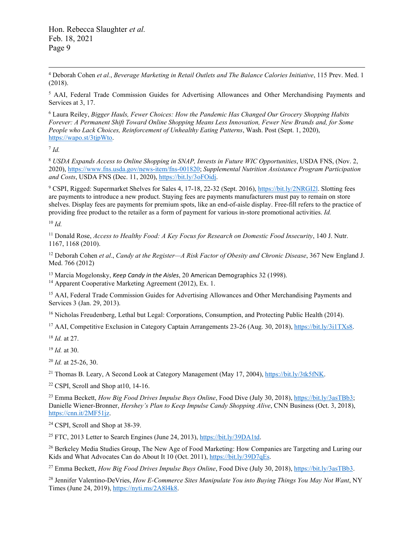<span id="page-8-0"></span><sup>4</sup> Deborah Cohen *et al.*, *Beverage Marketing in Retail Outlets and The Balance Calories Initiative*, 115 Prev. Med. 1 (2018).

<span id="page-8-1"></span><sup>5</sup> AAI, Federal Trade Commission Guides for Advertising Allowances and Other Merchandising Payments and Services at 3, 17.

<span id="page-8-2"></span><sup>6</sup> Laura Reiley, *Bigger Hauls, Fewer Choices: How the Pandemic Has Changed Our Grocery Shopping Habits Forever: A Permanent Shift Toward Online Shopping Means Less Innovation, Fewer New Brands and, for Some People who Lack Choices, Reinforcement of Unhealthy Eating Patterns*, Wash. Post (Sept. 1, 2020), [https://wapo.st/3tjpWto.](https://wapo.st/3tjpWto)

<span id="page-8-3"></span> $^7$  *Id.* 

<span id="page-8-4"></span><sup>8</sup> *USDA Expands Access to Online Shopping in SNAP, Invests in Future WIC Opportunities*, USDA FNS, (Nov. 2, 2020), [https://www.fns.usda.gov/news-item/fns-001820;](https://www.fns.usda.gov/news-item/fns-001820) *Supplemental Nutrition Assistance Program Participation and Costs*, USDA FNS (Dec. 11, 2020), [https://bit.ly/3oFOidj.](https://bit.ly/3oFOidj)

<span id="page-8-5"></span><sup>9</sup> CSPI, Rigged: Supermarket Shelves for Sales 4, 17-18, 22-32 (Sept. 2016)[, https://bit.ly/2NRGI2l.](https://bit.ly/2NRGI2l) Slotting fees are payments to introduce a new product. Staying fees are payments manufacturers must pay to remain on store shelves. Display fees are payments for premium spots, like an end-of-aisle display. Free-fill refers to the practice of providing free product to the retailer as a form of payment for various in-store promotional activities. *Id.*

<span id="page-8-6"></span> $10 \, \text{Id}$ 

<span id="page-8-7"></span><sup>11</sup> Donald Rose, *Access to Healthy Food: A Key Focus for Research on Domestic Food Insecurity*, 140 J. Nutr. 1167, 1168 (2010).

<span id="page-8-8"></span><sup>12</sup> Deborah Cohen *et al*., *Candy at the Register—A Risk Factor of Obesity and Chronic Disease*, 367 New England J. Med. 766 (2012)

<span id="page-8-10"></span><span id="page-8-9"></span><sup>13</sup> Marcia Mogelonsky, *Keep Candy in the Aisles*, 20 American Demographics 32 (1998).<br><sup>14</sup> Apparent Cooperative Marketing Agreement (2012), Ex. 1.

<span id="page-8-11"></span><sup>15</sup> AAI, Federal Trade Commission Guides for Advertising Allowances and Other Merchandising Payments and Services 3 (Jan. 29, 2013).

<span id="page-8-12"></span><sup>16</sup> Nicholas Freudenberg, Lethal but Legal: Corporations, Consumption, and Protecting Public Health (2014).

<span id="page-8-13"></span><sup>17</sup> AAI, Competitive Exclusion in Category Captain Arrangements 23-26 (Aug. 30, 2018), [https://bit.ly/3i1TXs8.](https://bit.ly/3i1TXs8)

<span id="page-8-14"></span><sup>18</sup> *Id.* at 27.

<span id="page-8-15"></span><sup>19</sup> *Id.* at 30.

<span id="page-8-16"></span><sup>20</sup> *Id.* at 25-26, 30.

<span id="page-8-17"></span><sup>21</sup> Thomas B. Leary, A Second Look at Category Management (May 17, 2004), [https://bit.ly/3tk5fNK.](https://bit.ly/3tk5fNK)

<span id="page-8-18"></span> $22$  CSPI, Scroll and Shop at 10, 14-16.

<span id="page-8-19"></span><sup>23</sup> Emma Beckett, *How Big Food Drives Impulse Buys Online*, Food Dive (July 30, 2018), [https://bit.ly/3asTBb3;](https://bit.ly/3asTBb3) Danielle Wiener-Bronner, *Hershey's Plan to Keep Impulse Candy Shopping Alive*, CNN Business (Oct. 3, 2018), [https://cnn.it/2MF51jz.](https://cnn.it/2MF51jz)

<span id="page-8-20"></span><sup>24</sup> CSPI, Scroll and Shop at 38-39.

<span id="page-8-21"></span><sup>25</sup> FTC, 2013 Letter to Search Engines (June 24, 2013)[, https://bit.ly/39DA1td.](https://bit.ly/39DA1td)

<span id="page-8-22"></span><sup>26</sup> Berkeley Media Studies Group, The New Age of Food Marketing: How Companies are Targeting and Luring our Kids and What Advocates Can do About It 10 (Oct. 2011), [https://bit.ly/39D7qEs.](https://bit.ly/39D7qEs)

<span id="page-8-23"></span><sup>27</sup> Emma Beckett, *How Big Food Drives Impulse Buys Online*, Food Dive (July 30, 2018), [https://bit.ly/3asTBb3.](https://bit.ly/3asTBb3)

<span id="page-8-24"></span><sup>28</sup> Jennifer Valentino-DeVries, *How E-Commerce Sites Manipulate You into Buying Things You May Not Want*, NY Times (June 24, 2019), [https://nyti.ms/2A8l4k8.](https://nyti.ms/2A8l4k8)